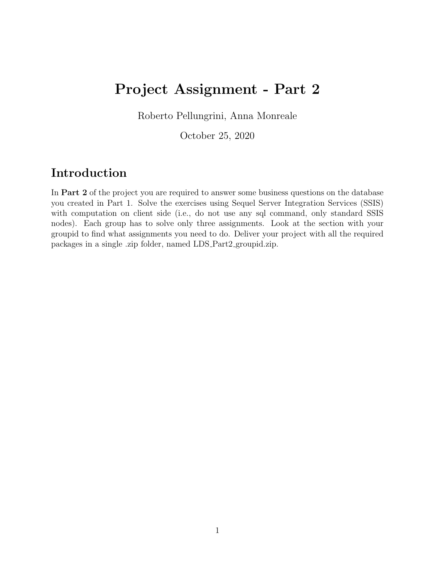# Project Assignment - Part 2

Roberto Pellungrini, Anna Monreale

October 25, 2020

### Introduction

In Part 2 of the project you are required to answer some business questions on the database you created in Part 1. Solve the exercises using Sequel Server Integration Services (SSIS) with computation on client side (i.e., do not use any sql command, only standard SSIS nodes). Each group has to solve only three assignments. Look at the section with your groupid to find what assignments you need to do. Deliver your project with all the required packages in a single .zip folder, named LDS Part2 groupid.zip.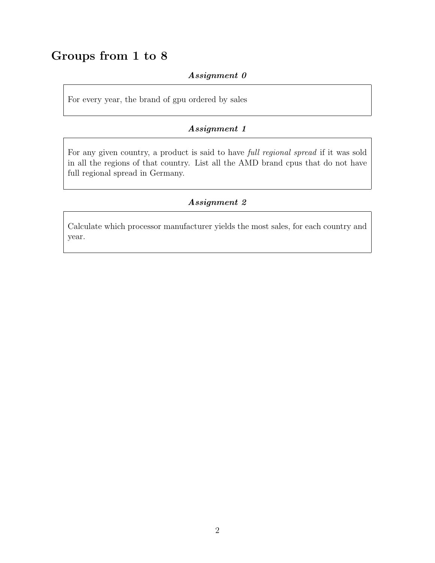## Groups from 1 to 8

#### Assignment 0

For every year, the brand of gpu ordered by sales

#### Assignment 1

For any given country, a product is said to have full regional spread if it was sold in all the regions of that country. List all the AMD brand cpus that do not have full regional spread in Germany.

#### Assignment 2

Calculate which processor manufacturer yields the most sales, for each country and year.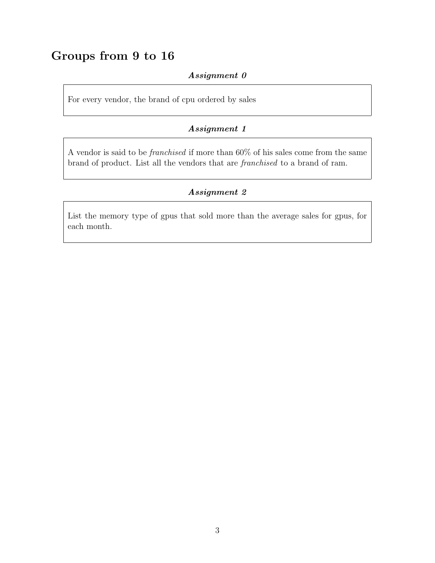### Groups from 9 to 16

#### Assignment 0

For every vendor, the brand of cpu ordered by sales

#### Assignment 1

A vendor is said to be franchised if more than 60% of his sales come from the same brand of product. List all the vendors that are franchised to a brand of ram.

#### Assignment 2

List the memory type of gpus that sold more than the average sales for gpus, for each month.